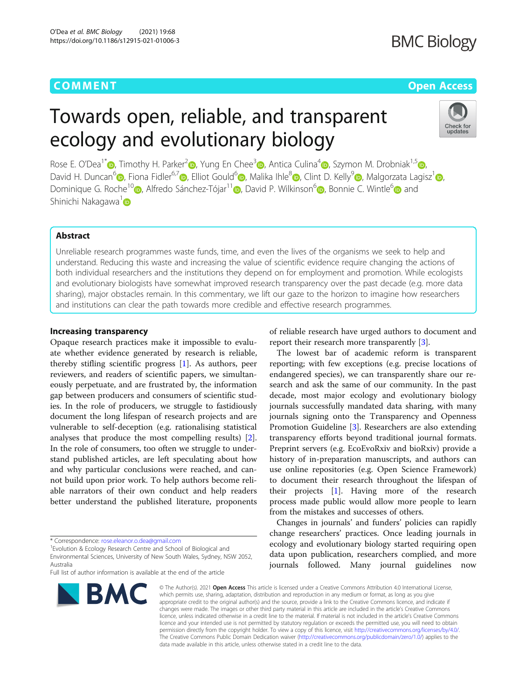## **COMMENT COMMENT COMMENT**

# Towards open, reliable, and transparent ecology and evolutionary biology



Rose E. O'Dea<sup>1\*</sup>  $\odot$ [,](https://orcid.org/0000-0003-2910-8085) Timothy H. Parker<sup>2</sup> $\odot$ , Yung En Chee<sup>3</sup> $\odot$ , Antica Culina<sup>4</sup> $\odot$ , Szymon M. Drobniak<sup>1,[5](https://orcid.org/0000-0001-8101-6247)</sup>  $\odot$ , David H. Duncan<sup>[6](https://orcid.org/0000-0003-4411-8214)</sup> [,](https://orcid.org/0000-0002-3993-6127) Fiona Fidler<sup>6,7</sup> , Elliot Gould<sup>6</sup> , Malika Ihle<sup>[8](https://orcid.org/0000-0002-3242-5981)</sup> , Clint D. Kelly<sup>[9](https://orcid.org/0000-0002-0693-7211)</sup> , Malgorzata Lagisz<sup>1</sup> , Dominique G. Roche<sup>1[0](https://orcid.org/0000-0002-3326-864X)</sup> [,](https://orcid.org/0000-0002-9560-6499) Alfredo Sánchez-Tójar<sup>11</sup> , David P. Wilkinson<sup>6</sup> , Bonnie C. Wintle<sup>6</sup> and Shinichi Nakagawa<sup>[1](https://orcid.org/0000-0002-7765-5182)</sup>

### Abstract

Unreliable research programmes waste funds, time, and even the lives of the organisms we seek to help and understand. Reducing this waste and increasing the value of scientific evidence require changing the actions of both individual researchers and the institutions they depend on for employment and promotion. While ecologists and evolutionary biologists have somewhat improved research transparency over the past decade (e.g. more data sharing), major obstacles remain. In this commentary, we lift our gaze to the horizon to imagine how researchers and institutions can clear the path towards more credible and effective research programmes.

#### Increasing transparency

Opaque research practices make it impossible to evaluate whether evidence generated by research is reliable, thereby stifling scientific progress [[1\]](#page-4-0). As authors, peer reviewers, and readers of scientific papers, we simultaneously perpetuate, and are frustrated by, the information gap between producers and consumers of scientific studies. In the role of producers, we struggle to fastidiously document the long lifespan of research projects and are vulnerable to self-deception (e.g. rationalising statistical analyses that produce the most compelling results) [\[2](#page-4-0)]. In the role of consumers, too often we struggle to understand published articles, are left speculating about how and why particular conclusions were reached, and cannot build upon prior work. To help authors become reliable narrators of their own conduct and help readers better understand the published literature, proponents

Full list of author information is available at the end of the article



of reliable research have urged authors to document and report their research more transparently [\[3\]](#page-4-0).

The lowest bar of academic reform is transparent reporting; with few exceptions (e.g. precise locations of endangered species), we can transparently share our research and ask the same of our community. In the past decade, most major ecology and evolutionary biology journals successfully mandated data sharing, with many journals signing onto the Transparency and Openness Promotion Guideline [\[3](#page-4-0)]. Researchers are also extending transparency efforts beyond traditional journal formats. Preprint servers (e.g. EcoEvoRxiv and bioRxiv) provide a history of in-preparation manuscripts, and authors can use online repositories (e.g. Open Science Framework) to document their research throughout the lifespan of their projects [\[1](#page-4-0)]. Having more of the research process made public would allow more people to learn from the mistakes and successes of others.

Changes in journals' and funders' policies can rapidly change researchers' practices. Once leading journals in ecology and evolutionary biology started requiring open data upon publication, researchers complied, and more journals followed. Many journal guidelines now

© The Author(s), 2021 **Open Access** This article is licensed under a Creative Commons Attribution 4.0 International License, which permits use, sharing, adaptation, distribution and reproduction in any medium or format, as long as you give appropriate credit to the original author(s) and the source, provide a link to the Creative Commons licence, and indicate if changes were made. The images or other third party material in this article are included in the article's Creative Commons licence, unless indicated otherwise in a credit line to the material. If material is not included in the article's Creative Commons licence and your intended use is not permitted by statutory regulation or exceeds the permitted use, you will need to obtain permission directly from the copyright holder. To view a copy of this licence, visit [http://creativecommons.org/licenses/by/4.0/.](http://creativecommons.org/licenses/by/4.0/) The Creative Commons Public Domain Dedication waiver [\(http://creativecommons.org/publicdomain/zero/1.0/](http://creativecommons.org/publicdomain/zero/1.0/)) applies to the data made available in this article, unless otherwise stated in a credit line to the data.

<sup>\*</sup> Correspondence: [rose.eleanor.o.dea@gmail.com](mailto:rose.eleanor.o.dea@gmail.com) <sup>1</sup>

<sup>&</sup>lt;sup>1</sup> Evolution & Ecology Research Centre and School of Biological and

Environmental Sciences, University of New South Wales, Sydney, NSW 2052, Australia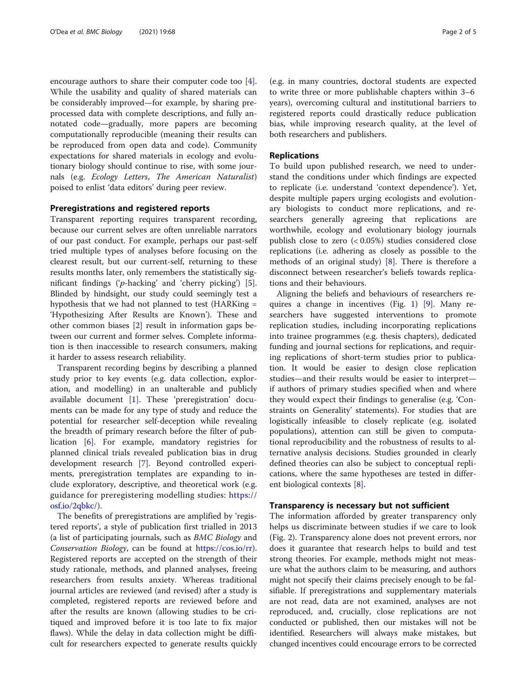encourage authors to share their computer code too [\[4](#page-4-0)]. While the usability and quality of shared materials can be considerably improved—for example, by sharing preprocessed data with complete descriptions, and fully annotated code—gradually, more papers are becoming computationally reproducible (meaning their results can be reproduced from open data and code). Community expectations for shared materials in ecology and evolutionary biology should continue to rise, with some journals (e.g. Ecology Letters, The American Naturalist) poised to enlist 'data editors' during peer review.

#### Preregistrations and registered reports

Transparent reporting requires transparent recording, because our current selves are often unreliable narrators of our past conduct. For example, perhaps our past-self tried multiple types of analyses before focusing on the clearest result, but our current-self, returning to these results months later, only remembers the statistically significant findings ('p-hacking' and 'cherry picking') [\[5](#page-4-0)]. Blinded by hindsight, our study could seemingly test a hypothesis that we had not planned to test (HARKing = 'Hypothesizing After Results are Known'). These and other common biases [\[2](#page-4-0)] result in information gaps between our current and former selves. Complete information is then inaccessible to research consumers, making it harder to assess research reliability.

Transparent recording begins by describing a planned study prior to key events (e.g. data collection, exploration, and modelling) in an unalterable and publicly available document [[1\]](#page-4-0). These 'preregistration' documents can be made for any type of study and reduce the potential for researcher self-deception while revealing the breadth of primary research before the filter of publication [\[6\]](#page-4-0). For example, mandatory registries for planned clinical trials revealed publication bias in drug development research [[7\]](#page-4-0). Beyond controlled experiments, preregistration templates are expanding to include exploratory, descriptive, and theoretical work (e.g. guidance for preregistering modelling studies: [https://](https://osf.io/2qbkc/) [osf.io/2qbkc/\)](https://osf.io/2qbkc/).

The benefits of preregistrations are amplified by 'registered reports', a style of publication first trialled in 2013 (a list of participating journals, such as BMC Biology and Conservation Biology, can be found at <https://cos.io/rr>). Registered reports are accepted on the strength of their study rationale, methods, and planned analyses, freeing researchers from results anxiety. Whereas traditional journal articles are reviewed (and revised) after a study is completed, registered reports are reviewed before and after the results are known (allowing studies to be critiqued and improved before it is too late to fix major flaws). While the delay in data collection might be difficult for researchers expected to generate results quickly

(e.g. in many countries, doctoral students are expected to write three or more publishable chapters within 3–6 years), overcoming cultural and institutional barriers to registered reports could drastically reduce publication bias, while improving research quality, at the level of both researchers and publishers.

#### Replications

To build upon published research, we need to understand the conditions under which findings are expected to replicate (i.e. understand 'context dependence'). Yet, despite multiple papers urging ecologists and evolutionary biologists to conduct more replications, and researchers generally agreeing that replications are worthwhile, ecology and evolutionary biology journals publish close to zero (< 0.05%) studies considered close replications (i.e. adhering as closely as possible to the methods of an original study) [[8\]](#page-4-0). There is therefore a disconnect between researcher's beliefs towards replications and their behaviours.

Aligning the beliefs and behaviours of researchers requires a change in incentives (Fig. [1](#page-2-0)) [[9](#page-4-0)]. Many researchers have suggested interventions to promote replication studies, including incorporating replications into trainee programmes (e.g. thesis chapters), dedicated funding and journal sections for replications, and requiring replications of short-term studies prior to publication. It would be easier to design close replication studies—and their results would be easier to interpret if authors of primary studies specified when and where they would expect their findings to generalise (e.g. 'Constraints on Generality' statements). For studies that are logistically infeasible to closely replicate (e.g. isolated populations), attention can still be given to computational reproducibility and the robustness of results to alternative analysis decisions. Studies grounded in clearly defined theories can also be subject to conceptual replications, where the same hypotheses are tested in different biological contexts [\[8\]](#page-4-0).

#### Transparency is necessary but not sufficient

The information afforded by greater transparency only helps us discriminate between studies if we care to look (Fig. [2](#page-3-0)). Transparency alone does not prevent errors, nor does it guarantee that research helps to build and test strong theories. For example, methods might not measure what the authors claim to be measuring, and authors might not specify their claims precisely enough to be falsifiable. If preregistrations and supplementary materials are not read, data are not examined, analyses are not reproduced, and, crucially, close replications are not conducted or published, then our mistakes will not be identified. Researchers will always make mistakes, but changed incentives could encourage errors to be corrected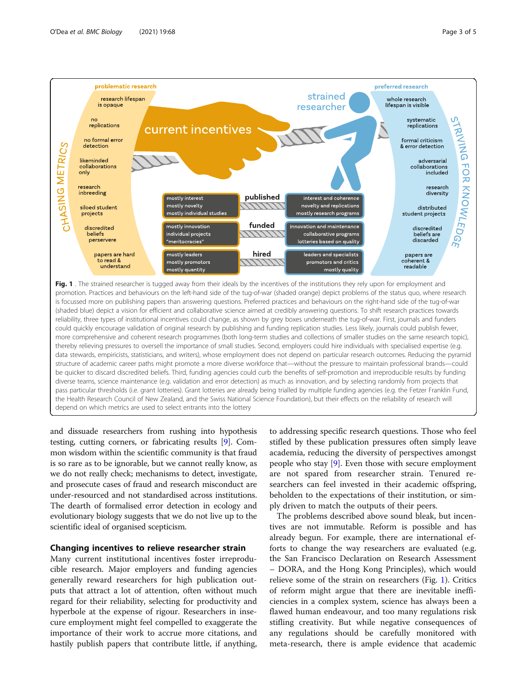<span id="page-2-0"></span>

depend on which metrics are used to select entrants into the lottery

and dissuade researchers from rushing into hypothesis testing, cutting corners, or fabricating results [[9\]](#page-4-0). Common wisdom within the scientific community is that fraud is so rare as to be ignorable, but we cannot really know, as we do not really check; mechanisms to detect, investigate, and prosecute cases of fraud and research misconduct are under-resourced and not standardised across institutions. The dearth of formalised error detection in ecology and evolutionary biology suggests that we do not live up to the scientific ideal of organised scepticism.

#### Changing incentives to relieve researcher strain

Many current institutional incentives foster irreproducible research. Major employers and funding agencies generally reward researchers for high publication outputs that attract a lot of attention, often without much regard for their reliability, selecting for productivity and hyperbole at the expense of rigour. Researchers in insecure employment might feel compelled to exaggerate the importance of their work to accrue more citations, and hastily publish papers that contribute little, if anything,

to addressing specific research questions. Those who feel stifled by these publication pressures often simply leave academia, reducing the diversity of perspectives amongst people who stay [[9\]](#page-4-0). Even those with secure employment are not spared from researcher strain. Tenured researchers can feel invested in their academic offspring, beholden to the expectations of their institution, or simply driven to match the outputs of their peers.

The problems described above sound bleak, but incentives are not immutable. Reform is possible and has already begun. For example, there are international efforts to change the way researchers are evaluated (e.g. the San Francisco Declaration on Research Assessment – DORA, and the Hong Kong Principles), which would relieve some of the strain on researchers (Fig. 1). Critics of reform might argue that there are inevitable inefficiencies in a complex system, science has always been a flawed human endeavour, and too many regulations risk stifling creativity. But while negative consequences of any regulations should be carefully monitored with meta-research, there is ample evidence that academic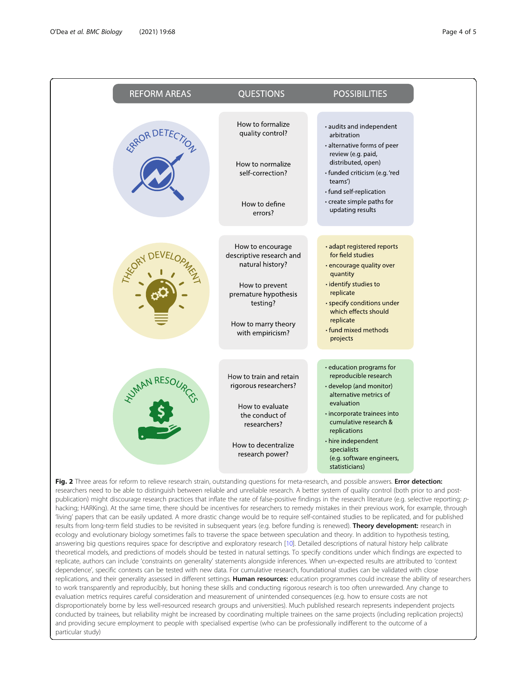<span id="page-3-0"></span>

| <b>REFORM AREAS</b>                                                                                                                       | <b>QUESTIONS</b>                                                 | <b>POSSIBILITIES</b>                                                                                            |
|-------------------------------------------------------------------------------------------------------------------------------------------|------------------------------------------------------------------|-----------------------------------------------------------------------------------------------------------------|
|                                                                                                                                           | How to formalize<br>quality control?                             | · audits and independent<br>arbitration<br>• alternative forms of peer                                          |
|                                                                                                                                           | How to normalize<br>self-correction?                             | review (e.g. paid,<br>distributed, open)<br>· funded criticism (e.g. 'red<br>teams')<br>• fund self-replication |
|                                                                                                                                           | How to define<br>errors?                                         | • create simple paths for<br>updating results                                                                   |
|                                                                                                                                           | How to encourage<br>descriptive research and<br>natural history? | • adapt registered reports<br>for field studies<br>• encourage quality over                                     |
|                                                                                                                                           | How to prevent<br>premature hypothesis<br>testing?               | quantity<br>• identify studies to<br>replicate<br>• specify conditions under<br>which effects should            |
|                                                                                                                                           | How to marry theory<br>with empiricism?                          | replicate<br>· fund mixed methods<br>projects                                                                   |
|                                                                                                                                           | How to train and retain                                          | · education programs for<br>reproducible research                                                               |
| <b>NAMARESC</b>                                                                                                                           | rigorous researchers?                                            | · develop (and monitor)<br>alternative metrics of<br>evaluation                                                 |
|                                                                                                                                           | How to evaluate<br>the conduct of<br>researchers?                | · incorporate trainees into<br>cumulative research &<br>replications                                            |
|                                                                                                                                           | How to decentralize<br>research power?                           | • hire independent<br>specialists<br>(e.g. software engineers,<br>statisticians)                                |
| Fig. 2 Three areas for reform to relieve research strain, outstanding questions for meta-research, and possible answers. Error detection: |                                                                  |                                                                                                                 |

researchers need to be able to distinguish between reliable and unreliable research. A better system of quality control (both prior to and postpublication) might discourage research practices that inflate the rate of false-positive findings in the research literature (e.g. selective reporting; phacking; HARKing). At the same time, there should be incentives for researchers to remedy mistakes in their previous work, for example, through 'living' papers that can be easily updated. A more drastic change would be to require self-contained studies to be replicated, and for published results from long-term field studies to be revisited in subsequent years (e.g. before funding is renewed). Theory development: research in ecology and evolutionary biology sometimes fails to traverse the space between speculation and theory. In addition to hypothesis testing, answering big questions requires space for descriptive and exploratory research [\[10\]](#page-4-0). Detailed descriptions of natural history help calibrate theoretical models, and predictions of models should be tested in natural settings. To specify conditions under which findings are expected to replicate, authors can include 'constraints on generality' statements alongside inferences. When un-expected results are attributed to 'context dependence', specific contexts can be tested with new data. For cumulative research, foundational studies can be validated with close replications, and their generality assessed in different settings. Human resources: education programmes could increase the ability of researchers to work transparently and reproducibly, but honing these skills and conducting rigorous research is too often unrewarded. Any change to evaluation metrics requires careful consideration and measurement of unintended consequences (e.g. how to ensure costs are not disproportionately borne by less well-resourced research groups and universities). Much published research represents independent projects conducted by trainees, but reliability might be increased by coordinating multiple trainees on the same projects (including replication projects) and providing secure employment to people with specialised expertise (who can be professionally indifferent to the outcome of a particular study)